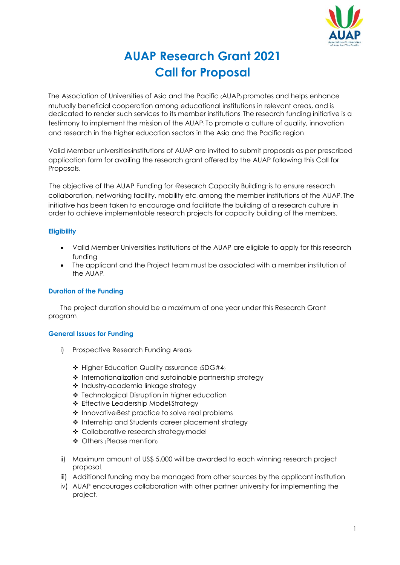

# **AUAP Research Grant 2021 Call for Proposal**

The Association of Universities of Asia and the Pacific (AUAP) promotes and helps enhance mutually beneficial cooperation among educational institutions in relevant areas, and is dedicated to render such services to its member institutions. The research funding initiative is a testimony to implement the mission of the AUAP: To promote a culture of quality, innovation and research in the higher education sectors in the Asia and the Pacific region.

Valid Member universities/institutions of AUAP are invited to submit proposals as per prescribed application form for availing the research grant offered by the AUAP following this Call for Proposals.

The objective of the AUAP Funding for 'Research Capacity Building' is to ensure research collaboration, networking facility, mobility etc. among the member institutions of the AUAP. The initiative has been taken to encourage and facilitate the building of a research culture in order to achieve implementable research projects for capacity building of the members.

# **Eligibility**

- Valid Member Universities/ Institutions of the AUAP are eligible to apply for this research funding
- The applicant and the Project team must be associated with a member institution of the AUAP.

# **Duration of the Funding**

The project duration should be a maximum of one year under this Research Grant program.

# **General Issues for Funding**

- i) Prospective Research Funding Areas:
	- Higher Education Quality assurance (SDG#4)
	- \* Internationalization and sustainable partnership strategy
	- Industry-academia linkage strategy
	- ❖ Technological Disruption in higher education
	- ❖ Effective Leadership Model/Strateav
	- $\triangle$  Innovative/Best practice to solve real problems
	- \* Internship and Students career placement strategy
	- ❖ Collaborative research strategy/model
	- ◆ Others (Please mention)
- ii) Maximum amount of US\$ 5,000 will be awarded to each winning research project proposal.
- iii) Additional funding may be managed from other sources by the applicant institution.
- iv) AUAP encourages collaboration with other partner university for implementing the project.